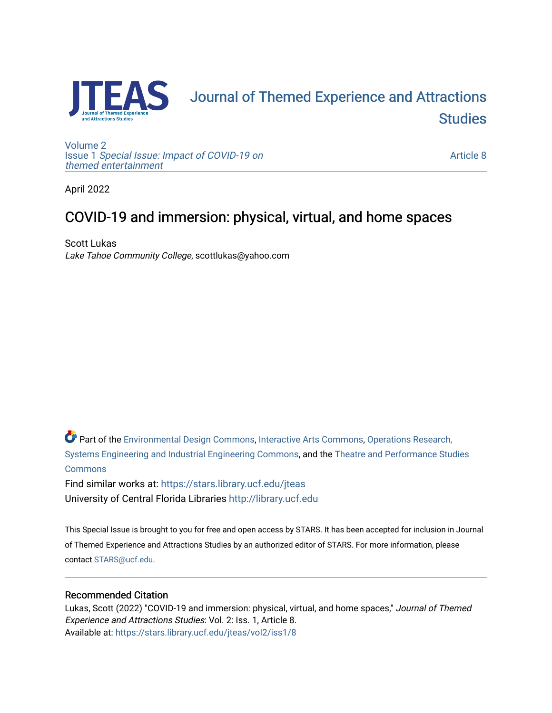

# [Journal of Themed Experience and Attractions](https://stars.library.ucf.edu/jteas)  **Studies**

[Volume 2](https://stars.library.ucf.edu/jteas/vol2) Issue 1 [Special Issue: Impact of COVID-19 on](https://stars.library.ucf.edu/jteas/vol2/iss1)  [themed entertainment](https://stars.library.ucf.edu/jteas/vol2/iss1) 

[Article 8](https://stars.library.ucf.edu/jteas/vol2/iss1/8) 

April 2022

## COVID-19 and immersion: physical, virtual, and home spaces

Scott Lukas Lake Tahoe Community College, scottlukas@yahoo.com

Part of the [Environmental Design Commons,](http://network.bepress.com/hgg/discipline/777?utm_source=stars.library.ucf.edu%2Fjteas%2Fvol2%2Fiss1%2F8&utm_medium=PDF&utm_campaign=PDFCoverPages) [Interactive Arts Commons](http://network.bepress.com/hgg/discipline/1136?utm_source=stars.library.ucf.edu%2Fjteas%2Fvol2%2Fiss1%2F8&utm_medium=PDF&utm_campaign=PDFCoverPages), [Operations Research,](http://network.bepress.com/hgg/discipline/305?utm_source=stars.library.ucf.edu%2Fjteas%2Fvol2%2Fiss1%2F8&utm_medium=PDF&utm_campaign=PDFCoverPages)  [Systems Engineering and Industrial Engineering Commons](http://network.bepress.com/hgg/discipline/305?utm_source=stars.library.ucf.edu%2Fjteas%2Fvol2%2Fiss1%2F8&utm_medium=PDF&utm_campaign=PDFCoverPages), and the [Theatre and Performance Studies](http://network.bepress.com/hgg/discipline/552?utm_source=stars.library.ucf.edu%2Fjteas%2Fvol2%2Fiss1%2F8&utm_medium=PDF&utm_campaign=PDFCoverPages)  [Commons](http://network.bepress.com/hgg/discipline/552?utm_source=stars.library.ucf.edu%2Fjteas%2Fvol2%2Fiss1%2F8&utm_medium=PDF&utm_campaign=PDFCoverPages)

Find similar works at: <https://stars.library.ucf.edu/jteas> University of Central Florida Libraries [http://library.ucf.edu](http://library.ucf.edu/) 

This Special Issue is brought to you for free and open access by STARS. It has been accepted for inclusion in Journal of Themed Experience and Attractions Studies by an authorized editor of STARS. For more information, please contact [STARS@ucf.edu.](mailto:STARS@ucf.edu)

## Recommended Citation

Lukas, Scott (2022) "COVID-19 and immersion: physical, virtual, and home spaces," Journal of Themed Experience and Attractions Studies: Vol. 2: Iss. 1, Article 8. Available at: [https://stars.library.ucf.edu/jteas/vol2/iss1/8](https://stars.library.ucf.edu/jteas/vol2/iss1/8?utm_source=stars.library.ucf.edu%2Fjteas%2Fvol2%2Fiss1%2F8&utm_medium=PDF&utm_campaign=PDFCoverPages)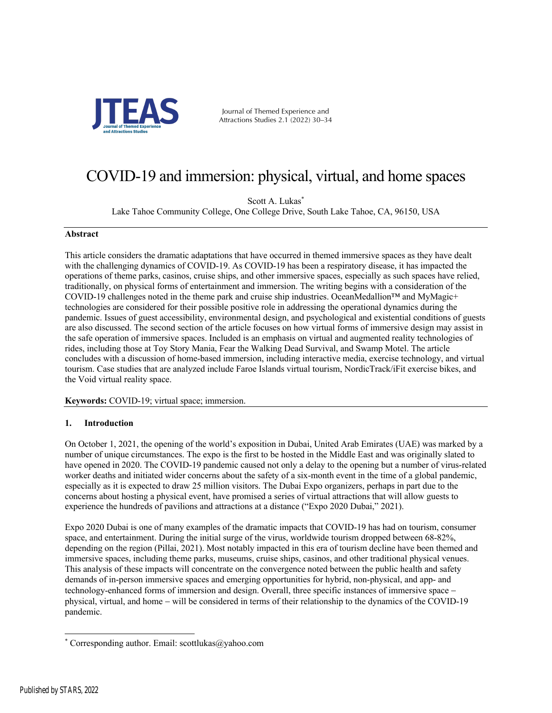

Journal of Themed Experience and Attractions Studies 2.1 (2022) 30–34

## COVID-19 and immersion: physical, virtual, and home spaces

Scott A. Lukas\*

Lake Tahoe Community College, One College Drive, South Lake Tahoe, CA, 96150, USA

#### **Abstract**

This article considers the dramatic adaptations that have occurred in themed immersive spaces as they have dealt with the challenging dynamics of COVID-19. As COVID-19 has been a respiratory disease, it has impacted the operations of theme parks, casinos, cruise ships, and other immersive spaces, especially as such spaces have relied, traditionally, on physical forms of entertainment and immersion. The writing begins with a consideration of the COVID-19 challenges noted in the theme park and cruise ship industries. OceanMedallion™ and MyMagic+ technologies are considered for their possible positive role in addressing the operational dynamics during the pandemic. Issues of guest accessibility, environmental design, and psychological and existential conditions of guests are also discussed. The second section of the article focuses on how virtual forms of immersive design may assist in the safe operation of immersive spaces. Included is an emphasis on virtual and augmented reality technologies of rides, including those at Toy Story Mania, Fear the Walking Dead Survival, and Swamp Motel. The article concludes with a discussion of home-based immersion, including interactive media, exercise technology, and virtual tourism. Case studies that are analyzed include Faroe Islands virtual tourism, NordicTrack/iFit exercise bikes, and the Void virtual reality space.

**Keywords:** COVID-19; virtual space; immersion.

### **1. Introduction**

On October 1, 2021, the opening of the world's exposition in Dubai, United Arab Emirates (UAE) was marked by a number of unique circumstances. The expo is the first to be hosted in the Middle East and was originally slated to have opened in 2020. The COVID-19 pandemic caused not only a delay to the opening but a number of virus-related worker deaths and initiated wider concerns about the safety of a six-month event in the time of a global pandemic, especially as it is expected to draw 25 million visitors. The Dubai Expo organizers, perhaps in part due to the concerns about hosting a physical event, have promised a series of virtual attractions that will allow guests to experience the hundreds of pavilions and attractions at a distance ("Expo 2020 Dubai," 2021).

Expo 2020 Dubai is one of many examples of the dramatic impacts that COVID-19 has had on tourism, consumer space, and entertainment. During the initial surge of the virus, worldwide tourism dropped between 68-82%, depending on the region (Pillai, 2021). Most notably impacted in this era of tourism decline have been themed and immersive spaces, including theme parks, museums, cruise ships, casinos, and other traditional physical venues. This analysis of these impacts will concentrate on the convergence noted between the public health and safety demands of in-person immersive spaces and emerging opportunities for hybrid, non-physical, and app- and technology-enhanced forms of immersion and design. Overall, three specific instances of immersive space – physical, virtual, and home - will be considered in terms of their relationship to the dynamics of the COVID-19 pandemic.

<sup>\*</sup> Corresponding author. Email: scottlukas@yahoo.com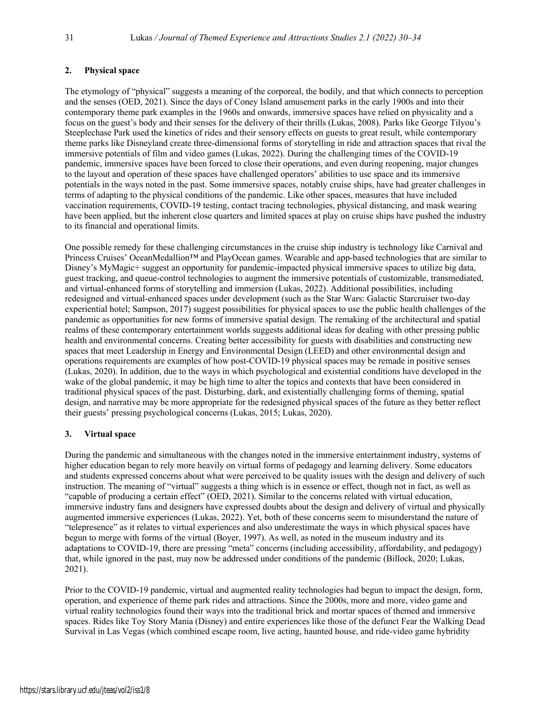## **2. Physical space**

The etymology of "physical" suggests a meaning of the corporeal, the bodily, and that which connects to perception and the senses (OED, 2021). Since the days of Coney Island amusement parks in the early 1900s and into their contemporary theme park examples in the 1960s and onwards, immersive spaces have relied on physicality and a focus on the guest's body and their senses for the delivery of their thrills (Lukas, 2008). Parks like George Tilyou's Steeplechase Park used the kinetics of rides and their sensory effects on guests to great result, while contemporary theme parks like Disneyland create three-dimensional forms of storytelling in ride and attraction spaces that rival the immersive potentials of film and video games (Lukas, 2022). During the challenging times of the COVID-19 pandemic, immersive spaces have been forced to close their operations, and even during reopening, major changes to the layout and operation of these spaces have challenged operators' abilities to use space and its immersive potentials in the ways noted in the past. Some immersive spaces, notably cruise ships, have had greater challenges in terms of adapting to the physical conditions of the pandemic. Like other spaces, measures that have included vaccination requirements, COVID-19 testing, contact tracing technologies, physical distancing, and mask wearing have been applied, but the inherent close quarters and limited spaces at play on cruise ships have pushed the industry to its financial and operational limits.

One possible remedy for these challenging circumstances in the cruise ship industry is technology like Carnival and Princess Cruises' OceanMedallion™ and PlayOcean games. Wearable and app-based technologies that are similar to Disney's MyMagic+ suggest an opportunity for pandemic-impacted physical immersive spaces to utilize big data, guest tracking, and queue-control technologies to augment the immersive potentials of customizable, transmediated, and virtual-enhanced forms of storytelling and immersion (Lukas, 2022). Additional possibilities, including redesigned and virtual-enhanced spaces under development (such as the Star Wars: Galactic Starcruiser two-day experiential hotel; Sampson, 2017) suggest possibilities for physical spaces to use the public health challenges of the pandemic as opportunities for new forms of immersive spatial design. The remaking of the architectural and spatial realms of these contemporary entertainment worlds suggests additional ideas for dealing with other pressing public health and environmental concerns. Creating better accessibility for guests with disabilities and constructing new spaces that meet Leadership in Energy and Environmental Design (LEED) and other environmental design and operations requirements are examples of how post-COVID-19 physical spaces may be remade in positive senses (Lukas, 2020). In addition, due to the ways in which psychological and existential conditions have developed in the wake of the global pandemic, it may be high time to alter the topics and contexts that have been considered in traditional physical spaces of the past. Disturbing, dark, and existentially challenging forms of theming, spatial design, and narrative may be more appropriate for the redesigned physical spaces of the future as they better reflect their guests' pressing psychological concerns (Lukas, 2015; Lukas, 2020).

### **3. Virtual space**

During the pandemic and simultaneous with the changes noted in the immersive entertainment industry, systems of higher education began to rely more heavily on virtual forms of pedagogy and learning delivery. Some educators and students expressed concerns about what were perceived to be quality issues with the design and delivery of such instruction. The meaning of "virtual" suggests a thing which is in essence or effect, though not in fact, as well as "capable of producing a certain effect" (OED, 2021). Similar to the concerns related with virtual education, immersive industry fans and designers have expressed doubts about the design and delivery of virtual and physically augmented immersive experiences (Lukas, 2022). Yet, both of these concerns seem to misunderstand the nature of "telepresence" as it relates to virtual experiences and also underestimate the ways in which physical spaces have begun to merge with forms of the virtual (Boyer, 1997). As well, as noted in the museum industry and its adaptations to COVID-19, there are pressing "meta" concerns (including accessibility, affordability, and pedagogy) that, while ignored in the past, may now be addressed under conditions of the pandemic (Billock, 2020; Lukas, 2021).

Prior to the COVID-19 pandemic, virtual and augmented reality technologies had begun to impact the design, form, operation, and experience of theme park rides and attractions. Since the 2000s, more and more, video game and virtual reality technologies found their ways into the traditional brick and mortar spaces of themed and immersive spaces. Rides like Toy Story Mania (Disney) and entire experiences like those of the defunct Fear the Walking Dead Survival in Las Vegas (which combined escape room, live acting, haunted house, and ride-video game hybridity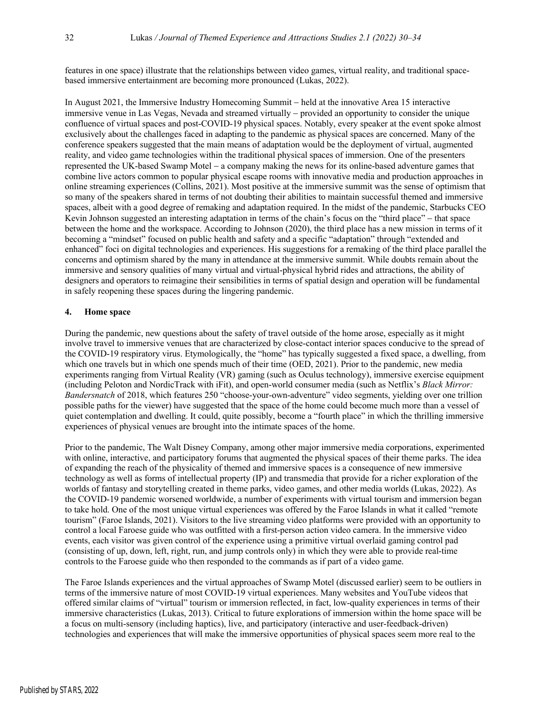features in one space) illustrate that the relationships between video games, virtual reality, and traditional spacebased immersive entertainment are becoming more pronounced (Lukas, 2022).

In August 2021, the Immersive Industry Homecoming Summit – held at the innovative Area 15 interactive immersive venue in Las Vegas, Nevada and streamed virtually – provided an opportunity to consider the unique confluence of virtual spaces and post-COVID-19 physical spaces. Notably, every speaker at the event spoke almost exclusively about the challenges faced in adapting to the pandemic as physical spaces are concerned. Many of the conference speakers suggested that the main means of adaptation would be the deployment of virtual, augmented reality, and video game technologies within the traditional physical spaces of immersion. One of the presenters represented the UK-based Swamp Motel - a company making the news for its online-based adventure games that combine live actors common to popular physical escape rooms with innovative media and production approaches in online streaming experiences (Collins, 2021). Most positive at the immersive summit was the sense of optimism that so many of the speakers shared in terms of not doubting their abilities to maintain successful themed and immersive spaces, albeit with a good degree of remaking and adaptation required. In the midst of the pandemic, Starbucks CEO Kevin Johnson suggested an interesting adaptation in terms of the chain's focus on the "third place" - that space between the home and the workspace. According to Johnson (2020), the third place has a new mission in terms of it becoming a "mindset" focused on public health and safety and a specific "adaptation" through "extended and enhanced" foci on digital technologies and experiences. His suggestions for a remaking of the third place parallel the concerns and optimism shared by the many in attendance at the immersive summit. While doubts remain about the immersive and sensory qualities of many virtual and virtual-physical hybrid rides and attractions, the ability of designers and operators to reimagine their sensibilities in terms of spatial design and operation will be fundamental in safely reopening these spaces during the lingering pandemic.

#### **4. Home space**

During the pandemic, new questions about the safety of travel outside of the home arose, especially as it might involve travel to immersive venues that are characterized by close-contact interior spaces conducive to the spread of the COVID-19 respiratory virus. Etymologically, the "home" has typically suggested a fixed space, a dwelling, from which one travels but in which one spends much of their time (OED, 2021). Prior to the pandemic, new media experiments ranging from Virtual Reality (VR) gaming (such as Oculus technology), immersive exercise equipment (including Peloton and NordicTrack with iFit), and open-world consumer media (such as Netflix's *Black Mirror: Bandersnatch* of 2018, which features 250 "choose-your-own-adventure" video segments, yielding over one trillion possible paths for the viewer) have suggested that the space of the home could become much more than a vessel of quiet contemplation and dwelling. It could, quite possibly, become a "fourth place" in which the thrilling immersive experiences of physical venues are brought into the intimate spaces of the home.

Prior to the pandemic, The Walt Disney Company, among other major immersive media corporations, experimented with online, interactive, and participatory forums that augmented the physical spaces of their theme parks. The idea of expanding the reach of the physicality of themed and immersive spaces is a consequence of new immersive technology as well as forms of intellectual property (IP) and transmedia that provide for a richer exploration of the worlds of fantasy and storytelling created in theme parks, video games, and other media worlds (Lukas, 2022). As the COVID-19 pandemic worsened worldwide, a number of experiments with virtual tourism and immersion began to take hold. One of the most unique virtual experiences was offered by the Faroe Islands in what it called "remote tourism" (Faroe Islands, 2021). Visitors to the live streaming video platforms were provided with an opportunity to control a local Faroese guide who was outfitted with a first-person action video camera. In the immersive video events, each visitor was given control of the experience using a primitive virtual overlaid gaming control pad (consisting of up, down, left, right, run, and jump controls only) in which they were able to provide real-time controls to the Faroese guide who then responded to the commands as if part of a video game.

The Faroe Islands experiences and the virtual approaches of Swamp Motel (discussed earlier) seem to be outliers in terms of the immersive nature of most COVID-19 virtual experiences. Many websites and YouTube videos that offered similar claims of "virtual" tourism or immersion reflected, in fact, low-quality experiences in terms of their immersive characteristics (Lukas, 2013). Critical to future explorations of immersion within the home space will be a focus on multi-sensory (including haptics), live, and participatory (interactive and user-feedback-driven) technologies and experiences that will make the immersive opportunities of physical spaces seem more real to the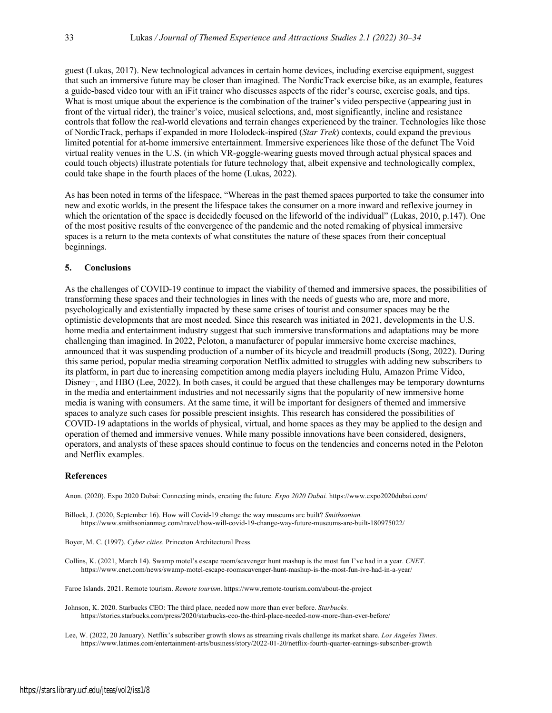guest (Lukas, 2017). New technological advances in certain home devices, including exercise equipment, suggest that such an immersive future may be closer than imagined. The NordicTrack exercise bike, as an example, features a guide-based video tour with an iFit trainer who discusses aspects of the rider's course, exercise goals, and tips. What is most unique about the experience is the combination of the trainer's video perspective (appearing just in front of the virtual rider), the trainer's voice, musical selections, and, most significantly, incline and resistance controls that follow the real-world elevations and terrain changes experienced by the trainer. Technologies like those of NordicTrack, perhaps if expanded in more Holodeck-inspired (*Star Trek*) contexts, could expand the previous limited potential for at-home immersive entertainment. Immersive experiences like those of the defunct The Void virtual reality venues in the U.S. (in which VR-goggle-wearing guests moved through actual physical spaces and could touch objects) illustrate potentials for future technology that, albeit expensive and technologically complex, could take shape in the fourth places of the home (Lukas, 2022).

As has been noted in terms of the lifespace, "Whereas in the past themed spaces purported to take the consumer into new and exotic worlds, in the present the lifespace takes the consumer on a more inward and reflexive journey in which the orientation of the space is decidedly focused on the lifeworld of the individual" (Lukas, 2010, p.147). One of the most positive results of the convergence of the pandemic and the noted remaking of physical immersive spaces is a return to the meta contexts of what constitutes the nature of these spaces from their conceptual beginnings.

#### **5. Conclusions**

As the challenges of COVID-19 continue to impact the viability of themed and immersive spaces, the possibilities of transforming these spaces and their technologies in lines with the needs of guests who are, more and more, psychologically and existentially impacted by these same crises of tourist and consumer spaces may be the optimistic developments that are most needed. Since this research was initiated in 2021, developments in the U.S. home media and entertainment industry suggest that such immersive transformations and adaptations may be more challenging than imagined. In 2022, Peloton, a manufacturer of popular immersive home exercise machines, announced that it was suspending production of a number of its bicycle and treadmill products (Song, 2022). During this same period, popular media streaming corporation Netflix admitted to struggles with adding new subscribers to its platform, in part due to increasing competition among media players including Hulu, Amazon Prime Video, Disney+, and HBO (Lee, 2022). In both cases, it could be argued that these challenges may be temporary downturns in the media and entertainment industries and not necessarily signs that the popularity of new immersive home media is waning with consumers. At the same time, it will be important for designers of themed and immersive spaces to analyze such cases for possible prescient insights. This research has considered the possibilities of COVID-19 adaptations in the worlds of physical, virtual, and home spaces as they may be applied to the design and operation of themed and immersive venues. While many possible innovations have been considered, designers, operators, and analysts of these spaces should continue to focus on the tendencies and concerns noted in the Peloton and Netflix examples.

#### **References**

Anon. (2020). Expo 2020 Dubai: Connecting minds, creating the future. *Expo 2020 Dubai.* https://www.expo2020dubai.com/

Billock, J. (2020, September 16). How will Covid-19 change the way museums are built? *Smithsonian.* https://www.smithsonianmag.com/travel/how-will-covid-19-change-way-future-museums-are-built-180975022/

Boyer, M. C. (1997). *Cyber cities*. Princeton Architectural Press.

Collins, K. (2021, March 14). Swamp motel's escape room/scavenger hunt mashup is the most fun I've had in a year. *CNET*. https://www.cnet.com/news/swamp-motel-escape-roomscavenger-hunt-mashup-is-the-most-fun-ive-had-in-a-year/

Faroe Islands. 2021. Remote tourism. *Remote tourism*. https://www.remote-tourism.com/about-the-project

Johnson, K. 2020. Starbucks CEO: The third place, needed now more than ever before. *Starbucks.* https://stories.starbucks.com/press/2020/starbucks-ceo-the-third-place-needed-now-more-than-ever-before/

Lee, W. (2022, 20 January). Netflix's subscriber growth slows as streaming rivals challenge its market share. *Los Angeles Times*. https://www.latimes.com/entertainment-arts/business/story/2022-01-20/netflix-fourth-quarter-earnings-subscriber-growth